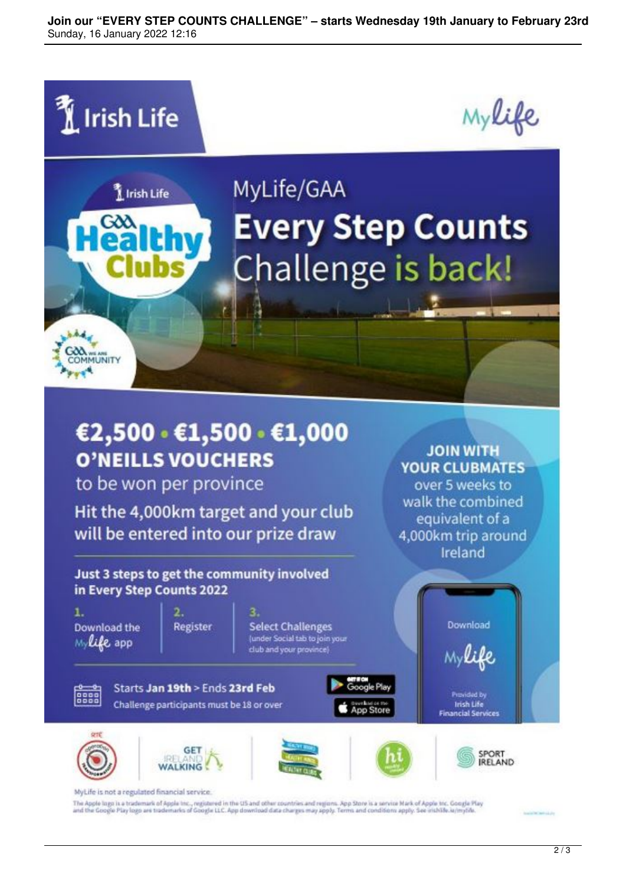**Join our "EVERY STEP COUNTS CHALLENGE" – starts Wednesday 19th January to February 23rd** Sunday, 16 January 2022 12:16





**WALKING** 

The Apple laga is a trademark of Apple Inc., registered in the US and other countries and regions. App Store is a service Mark of Apple Inc. Google Play<br>and the Google Play logo are trademarks of Google LLC. App download d

**IRELAND**